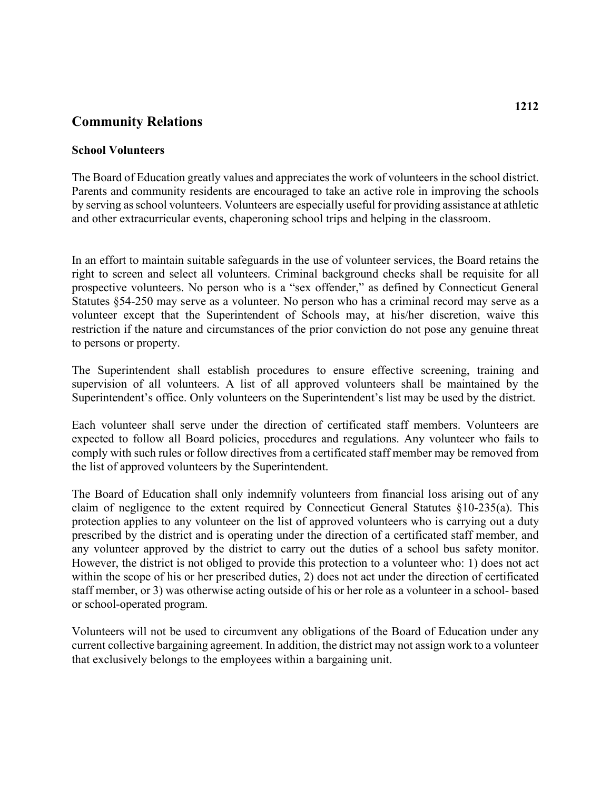## **Community Relations**

## **School Volunteers**

The Board of Education greatly values and appreciates the work of volunteers in the school district. Parents and community residents are encouraged to take an active role in improving the schools by serving as school volunteers. Volunteers are especially useful for providing assistance at athletic and other extracurricular events, chaperoning school trips and helping in the classroom.

 right to screen and select all volunteers. Criminal background checks shall be requisite for all Statutes §54-250 may serve as a volunteer. No person who has a criminal record may serve as a In an effort to maintain suitable safeguards in the use of volunteer services, the Board retains the prospective volunteers. No person who is a "sex offender," as defined by Connecticut General volunteer except that the Superintendent of Schools may, at his/her discretion, waive this restriction if the nature and circumstances of the prior conviction do not pose any genuine threat to persons or property.

The Superintendent shall establish procedures to ensure effective screening, training and supervision of all volunteers. A list of all approved volunteers shall be maintained by the Superintendent's office. Only volunteers on the Superintendent's list may be used by the district.

Each volunteer shall serve under the direction of certificated staff members. Volunteers are expected to follow all Board policies, procedures and regulations. Any volunteer who fails to comply with such rules or follow directives from a certificated staff member may be removed from the list of approved volunteers by the Superintendent.

The Board of Education shall only indemnify volunteers from financial loss arising out of any claim of negligence to the extent required by Connecticut General Statutes §10-235(a). This protection applies to any volunteer on the list of approved volunteers who is carrying out a duty prescribed by the district and is operating under the direction of a certificated staff member, and any volunteer approved by the district to carry out the duties of a school bus safety monitor. However, the district is not obliged to provide this protection to a volunteer who: 1) does not act within the scope of his or her prescribed duties, 2) does not act under the direction of certificated staff member, or 3) was otherwise acting outside of his or her role as a volunteer in a school- based or school-operated program.

Volunteers will not be used to circumvent any obligations of the Board of Education under any current collective bargaining agreement. In addition, the district may not assign work to a volunteer that exclusively belongs to the employees within a bargaining unit.